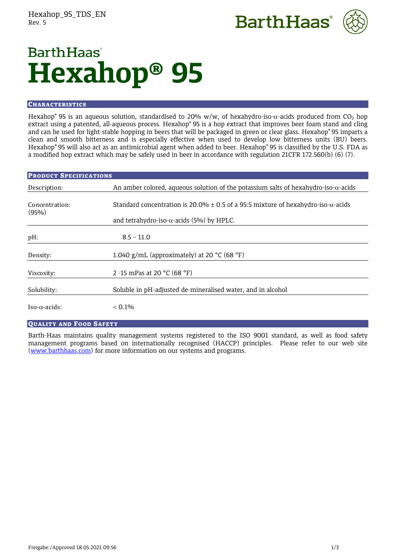



# **BarthHaas**<sup>®</sup> **Hexahop® 95**

### **CHARACTERISTICS**

Hexahop® 95 is an aqueous solution, standardised to 20% w/w, of hexahydro-iso- $\alpha$ -acids produced from CO<sub>2</sub> hop extract using a patented, all-aqueous process. Hexahop® 95 is a hop extract that improves beer foam stand and cling and can be used for light-stable hopping in beers that will be packaged in green or clear glass. Hexahop® 95 imparts a clean and smooth bitterness and is especially effective when used to develop low bitterness units (BU) beers. Hexahop® 95 will also act as an antimicrobial agent when added to beer. Hexahop® 95 is classified by the U.S. FDA as a modified hop extract which may be safely used in beer in accordance with regulation 21CFR 172.560(b) (6) (7).

| <b>PRODUCT SPECIFICATIONS</b> |                                                                                               |
|-------------------------------|-----------------------------------------------------------------------------------------------|
| Description:                  | An amber colored, aqueous solution of the potassium salts of hexahydro-iso- $\alpha$ -acids   |
| Concentration:<br>(95%)       | Standard concentration is 20.0% $\pm$ 0.5 of a 95:5 mixture of hexahydro-iso- $\alpha$ -acids |
|                               | and tetrahydro-iso- $\alpha$ -acids (5%) by HPLC.                                             |
| pH:                           | $8.5 - 11.0$                                                                                  |
| Density:                      | 1.040 g/mL (approximately) at 20 $^{\circ}$ C (68 $^{\circ}$ F)                               |
| Viscosity:                    | 2 -15 mPas at 20 $^{\circ}$ C (68 $^{\circ}$ F)                                               |
| Solubility:                   | Soluble in pH-adjusted de-mineralised water, and in alcohol                                   |
| $Iso-\alpha-acids$ :          | $< 0.1\%$                                                                                     |

### QUALITY AND FOOD SAFETY

Barth-Haas maintains quality management systems registered to the ISO 9001 standard, as well as food safety management programs based on internationally recognised (HACCP) principles. Please refer to our web site [\(www.barthhaas.com\)](http://www.barthhaas.com/) for more information on our systems and programs.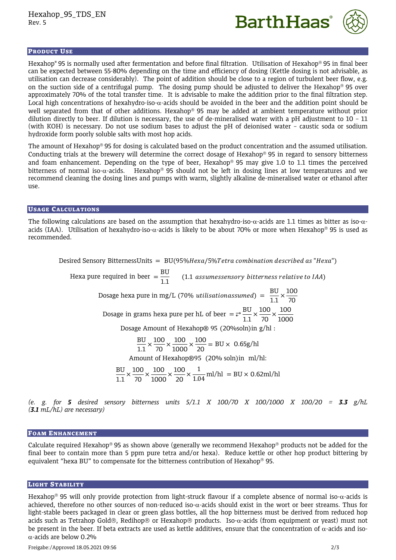



### PRODUCT USE

Hexahop® 95 is normally used after fermentation and before final filtration. Utilisation of Hexahop® 95 in final beer can be expected between 55-80% depending on the time and efficiency of dosing (Kettle dosing is not advisable, as utilisation can decrease considerably). The point of addition should be close to a region of turbulent beer flow, e.g. on the suction side of a centrifugal pump. The dosing pump should be adjusted to deliver the Hexahop<sup>®</sup> 95 over approximately 70% of the total transfer time. It is advisable to make the addition prior to the final filtration step. Local high concentrations of hexahydro-iso- $\alpha$ -acids should be avoided in the beer and the addition point should be well separated from that of other additions. Hexahop<sup>®</sup> 95 may be added at ambient temperature without prior dilution directly to beer. If dilution is necessary, the use of de-mineralised water with a pH adjustment to 10 – 11 (with KOH) is necessary. Do not use sodium bases to adjust the pH of deionised water – caustic soda or sodium hydroxide form poorly soluble salts with most hop acids.

The amount of Hexahop® 95 for dosing is calculated based on the product concentration and the assumed utilisation. Conducting trials at the brewery will determine the correct dosage of Hexahop<sup>®</sup> 95 in regard to sensory bitterness and foam enhancement. Depending on the type of beer, Hexahop<sup>®</sup> 95 may give 1.0 to 1.1 times the perceived bitterness of normal iso- $\alpha$ -acids. Hexahop<sup>®</sup> 95 should not be left in dosing lines at low temperatures and we recommend cleaning the dosing lines and pumps with warm, slightly alkaline de-mineralised water or ethanol after use.

### USAGE CALCULATIONS

The following calculations are based on the assumption that hexahydro-iso- $\alpha$ -acids are 1.1 times as bitter as iso- $\alpha$ acids (IAA). Utilisation of hexahydro-iso- $\alpha$ -acids is likely to be about 70% or more when Hexahop<sup>®</sup> 95 is used as recommended.

Desired Sensory BitternessUnits =  $BU(95\%$ Hexa/5%Tetra combination described as "Hexa")

Hexa pure required in beer  $=$   $\frac{BU}{1.7}$  $\frac{120}{1.1}$  (1.1 assumessensory bitterness relative to IAA) Dosage hexa pure in mg/L (70% *utilisationassumed*) =  $\frac{BU}{1.1}$  $\frac{BU}{1.1} \times \frac{100}{70}$ 70 Dosage in grams hexa pure per hL of beer  $=$   $\frac{BU}{\sqrt{1-\frac{1}{2}}}$  $\frac{BU}{1.1} \times \frac{100}{70}$  $\frac{100}{70}$   $\times \frac{100}{1000}$ 1000 Dosage Amount of Hexahop® 95 (20%soln)in g/hl : BU  $\frac{BU}{1.1} \times \frac{100}{70}$  $\frac{100}{70}$   $\times \frac{100}{1000}$  $\frac{100}{1000} \times \frac{100}{20}$  $\frac{200}{20}$  = BU × 0.65g/hl Amount of Hexahop®95 (20% soln)in ml/hl: BU  $\frac{BU}{1.1} \times \frac{100}{70}$  $\frac{100}{70}$   $\times \frac{100}{1000}$  $\frac{100}{1000} \times \frac{100}{20}$  $\frac{100}{20} \times \frac{1}{1.04}$  ml/hl = BU × 0.62ml/hl

*(e. g. for 5 desired sensory bitterness units 5/1.1 X 100/70 X 100/1000 X 100/20 = 3.3 g/hL (3.1 mL/hL) are necessary)*

### FOAM ENHANCEMENT

Calculate required Hexahop<sup>®</sup> 95 as shown above (generally we recommend Hexahop<sup>®</sup> products not be added for the final beer to contain more than 5 ppm pure tetra and/or hexa). Reduce kettle or other hop product bittering by equivalent "hexa BU" to compensate for the bitterness contribution of Hexahop® 95.

### LIGHT STABILITY

Hexahop<sup>®</sup> 95 will only provide protection from light-struck flavour if a complete absence of normal iso- $\alpha$ -acids is achieved, therefore no other sources of non-reduced iso- $\alpha$ -acids should exist in the wort or beer streams. Thus for light-stable beers packaged in clear or green glass bottles, all the hop bitterness must be derived from reduced hop acids such as Tetrahop Gold®, Redihop® or Hexahop® products. Iso- $\alpha$ -acids (from equipment or yeast) must not be present in the beer. If beta extracts are used as kettle additives, ensure that the concentration of  $\alpha$ -acids and iso- $\alpha$ -acids are below 0.2%